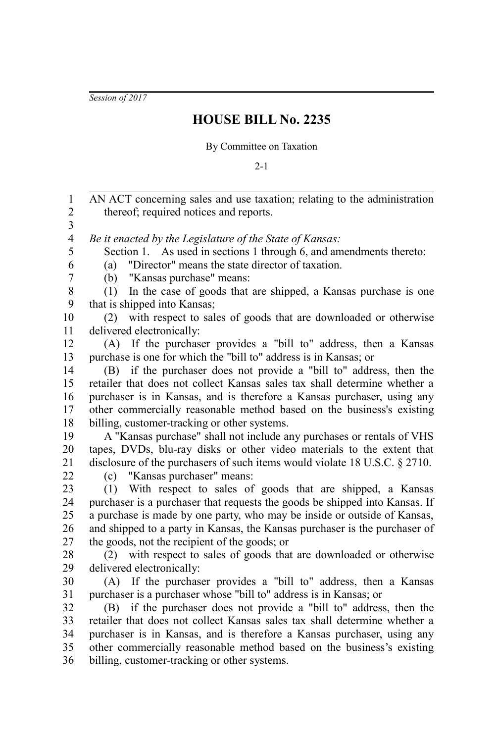*Session of 2017*

## **HOUSE BILL No. 2235**

## By Committee on Taxation

 $2 - 1$ 

AN ACT concerning sales and use taxation; relating to the administration thereof; required notices and reports. *Be it enacted by the Legislature of the State of Kansas:* Section 1. As used in sections 1 through 6, and amendments thereto: (a) "Director" means the state director of taxation. (b) "Kansas purchase" means: (1) In the case of goods that are shipped, a Kansas purchase is one that is shipped into Kansas; (2) with respect to sales of goods that are downloaded or otherwise delivered electronically: (A) If the purchaser provides a "bill to" address, then a Kansas purchase is one for which the "bill to" address is in Kansas; or (B) if the purchaser does not provide a "bill to" address, then the retailer that does not collect Kansas sales tax shall determine whether a purchaser is in Kansas, and is therefore a Kansas purchaser, using any other commercially reasonable method based on the business's existing billing, customer-tracking or other systems. A "Kansas purchase" shall not include any purchases or rentals of VHS tapes, DVDs, blu-ray disks or other video materials to the extent that disclosure of the purchasers of such items would violate 18 U.S.C. § 2710. (c) "Kansas purchaser" means: (1) With respect to sales of goods that are shipped, a Kansas purchaser is a purchaser that requests the goods be shipped into Kansas. If a purchase is made by one party, who may be inside or outside of Kansas, and shipped to a party in Kansas, the Kansas purchaser is the purchaser of the goods, not the recipient of the goods; or (2) with respect to sales of goods that are downloaded or otherwise delivered electronically: (A) If the purchaser provides a "bill to" address, then a Kansas purchaser is a purchaser whose "bill to" address is in Kansas; or (B) if the purchaser does not provide a "bill to" address, then the retailer that does not collect Kansas sales tax shall determine whether a purchaser is in Kansas, and is therefore a Kansas purchaser, using any other commercially reasonable method based on the business's existing billing, customer-tracking or other systems. 1 2 3 4 5 6 7 8 9 10 11 12 13 14 15 16 17 18 19 20 21 22 23 24 25 26 27 28 29 30 31 32 33 34 35 36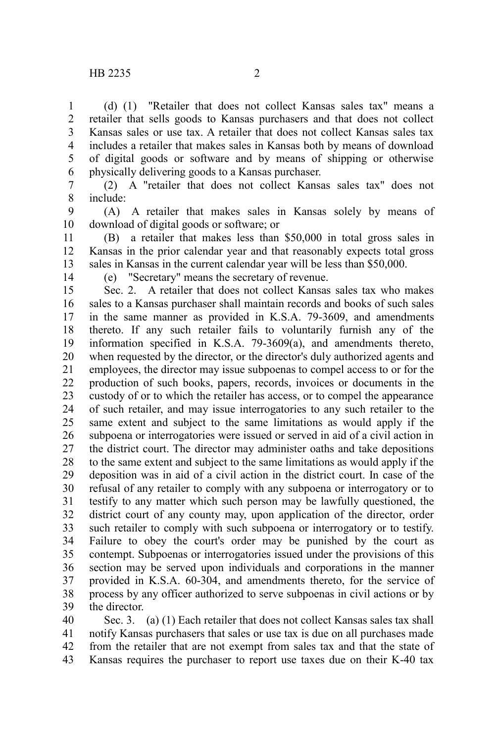(d) (1) "Retailer that does not collect Kansas sales tax" means a retailer that sells goods to Kansas purchasers and that does not collect Kansas sales or use tax. A retailer that does not collect Kansas sales tax includes a retailer that makes sales in Kansas both by means of download of digital goods or software and by means of shipping or otherwise physically delivering goods to a Kansas purchaser. 1 2 3 4 5 6

(2) A "retailer that does not collect Kansas sales tax" does not include: 7 8

(A) A retailer that makes sales in Kansas solely by means of download of digital goods or software; or 9 10

(B) a retailer that makes less than \$50,000 in total gross sales in Kansas in the prior calendar year and that reasonably expects total gross sales in Kansas in the current calendar year will be less than \$50,000. 11 12 13

14

(e) "Secretary" means the secretary of revenue.

Sec. 2. A retailer that does not collect Kansas sales tax who makes sales to a Kansas purchaser shall maintain records and books of such sales in the same manner as provided in K.S.A. 79-3609, and amendments thereto. If any such retailer fails to voluntarily furnish any of the information specified in K.S.A. 79-3609(a), and amendments thereto, when requested by the director, or the director's duly authorized agents and employees, the director may issue subpoenas to compel access to or for the production of such books, papers, records, invoices or documents in the custody of or to which the retailer has access, or to compel the appearance of such retailer, and may issue interrogatories to any such retailer to the same extent and subject to the same limitations as would apply if the subpoena or interrogatories were issued or served in aid of a civil action in the district court. The director may administer oaths and take depositions to the same extent and subject to the same limitations as would apply if the deposition was in aid of a civil action in the district court. In case of the refusal of any retailer to comply with any subpoena or interrogatory or to testify to any matter which such person may be lawfully questioned, the district court of any county may, upon application of the director, order such retailer to comply with such subpoena or interrogatory or to testify. Failure to obey the court's order may be punished by the court as contempt. Subpoenas or interrogatories issued under the provisions of this section may be served upon individuals and corporations in the manner provided in K.S.A. 60-304, and amendments thereto, for the service of process by any officer authorized to serve subpoenas in civil actions or by the director. 15 16 17 18 19 20 21 22 23 24 25 26 27 28 29 30 31 32 33 34 35 36 37 38 39

Sec. 3. (a) (1) Each retailer that does not collect Kansas sales tax shall notify Kansas purchasers that sales or use tax is due on all purchases made from the retailer that are not exempt from sales tax and that the state of Kansas requires the purchaser to report use taxes due on their K-40 tax 40 41 42 43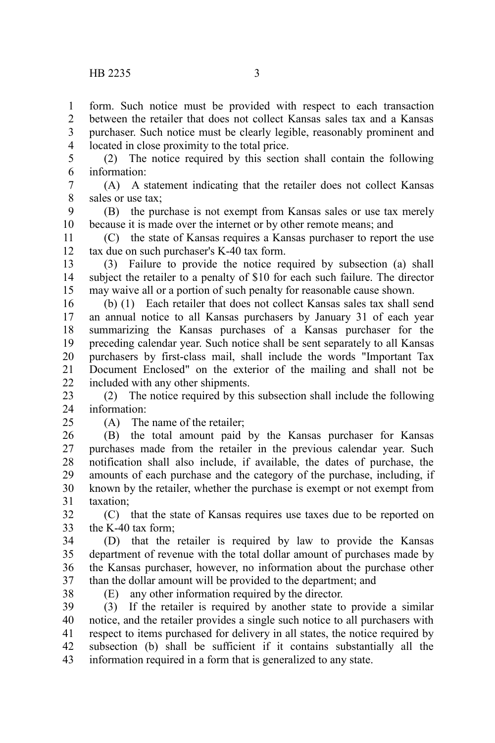form. Such notice must be provided with respect to each transaction between the retailer that does not collect Kansas sales tax and a Kansas purchaser. Such notice must be clearly legible, reasonably prominent and located in close proximity to the total price. 1  $\mathcal{L}$ 3 4

(2) The notice required by this section shall contain the following information: 5 6

(A) A statement indicating that the retailer does not collect Kansas sales or use tax; 7 8

(B) the purchase is not exempt from Kansas sales or use tax merely because it is made over the internet or by other remote means; and 9 10

(C) the state of Kansas requires a Kansas purchaser to report the use tax due on such purchaser's K-40 tax form. 11 12

(3) Failure to provide the notice required by subsection (a) shall subject the retailer to a penalty of \$10 for each such failure. The director may waive all or a portion of such penalty for reasonable cause shown. 13 14 15

(b) (1) Each retailer that does not collect Kansas sales tax shall send an annual notice to all Kansas purchasers by January 31 of each year summarizing the Kansas purchases of a Kansas purchaser for the preceding calendar year. Such notice shall be sent separately to all Kansas purchasers by first-class mail, shall include the words "Important Tax Document Enclosed" on the exterior of the mailing and shall not be included with any other shipments. 16 17 18 19 20 21 22

(2) The notice required by this subsection shall include the following information: 23 24

 $25$ 

(A) The name of the retailer;

(B) the total amount paid by the Kansas purchaser for Kansas purchases made from the retailer in the previous calendar year. Such notification shall also include, if available, the dates of purchase, the amounts of each purchase and the category of the purchase, including, if known by the retailer, whether the purchase is exempt or not exempt from taxation; 26 27 28 29 30 31

(C) that the state of Kansas requires use taxes due to be reported on the K-40 tax form; 32 33

(D) that the retailer is required by law to provide the Kansas department of revenue with the total dollar amount of purchases made by the Kansas purchaser, however, no information about the purchase other than the dollar amount will be provided to the department; and 34 35 36 37

38

(E) any other information required by the director.

(3) If the retailer is required by another state to provide a similar notice, and the retailer provides a single such notice to all purchasers with respect to items purchased for delivery in all states, the notice required by subsection (b) shall be sufficient if it contains substantially all the information required in a form that is generalized to any state. 39 40 41 42 43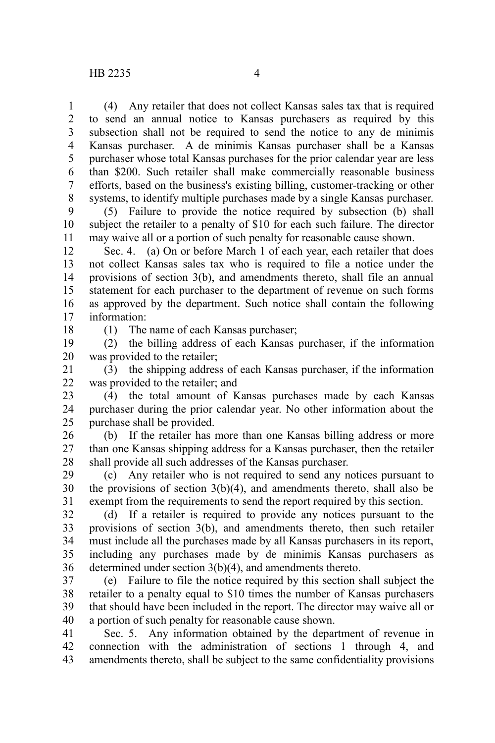(4) Any retailer that does not collect Kansas sales tax that is required to send an annual notice to Kansas purchasers as required by this subsection shall not be required to send the notice to any de minimis Kansas purchaser. A de minimis Kansas purchaser shall be a Kansas purchaser whose total Kansas purchases for the prior calendar year are less than \$200. Such retailer shall make commercially reasonable business efforts, based on the business's existing billing, customer-tracking or other systems, to identify multiple purchases made by a single Kansas purchaser. 1 2 3 4 5 6 7 8

(5) Failure to provide the notice required by subsection (b) shall subject the retailer to a penalty of \$10 for each such failure. The director may waive all or a portion of such penalty for reasonable cause shown. 9 10 11

Sec. 4. (a) On or before March 1 of each year, each retailer that does not collect Kansas sales tax who is required to file a notice under the provisions of section 3(b), and amendments thereto, shall file an annual statement for each purchaser to the department of revenue on such forms as approved by the department. Such notice shall contain the following information: 12 13 14 15 16 17

18

(1) The name of each Kansas purchaser;

(2) the billing address of each Kansas purchaser, if the information was provided to the retailer; 19 20

(3) the shipping address of each Kansas purchaser, if the information was provided to the retailer; and 21 22

(4) the total amount of Kansas purchases made by each Kansas purchaser during the prior calendar year. No other information about the purchase shall be provided. 23 24 25

(b) If the retailer has more than one Kansas billing address or more than one Kansas shipping address for a Kansas purchaser, then the retailer shall provide all such addresses of the Kansas purchaser. 26 27 28

(c) Any retailer who is not required to send any notices pursuant to the provisions of section 3(b)(4), and amendments thereto, shall also be exempt from the requirements to send the report required by this section. 29 30 31

(d) If a retailer is required to provide any notices pursuant to the provisions of section 3(b), and amendments thereto, then such retailer must include all the purchases made by all Kansas purchasers in its report, including any purchases made by de minimis Kansas purchasers as determined under section 3(b)(4), and amendments thereto. 32 33 34 35 36

(e) Failure to file the notice required by this section shall subject the retailer to a penalty equal to \$10 times the number of Kansas purchasers that should have been included in the report. The director may waive all or a portion of such penalty for reasonable cause shown. 37 38 39 40

Sec. 5. Any information obtained by the department of revenue in connection with the administration of sections 1 through 4, and amendments thereto, shall be subject to the same confidentiality provisions 41 42 43